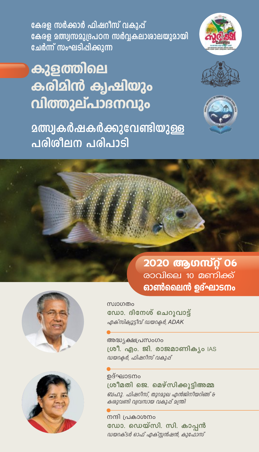

കുളത്തിലെ കരിമിൻ ക്വഷിയും വിത്തുല്പാദനവും

**മത്സ്വകർഷകർക്കുവേണ്ടിയുള്ള** പരിശീലന പരിപാടി







2020 ആഗസ്റ്റ് 06 രാവിലെ 10 മണിക്ക് ഓൺലൈൻ ഉദ്ഘാടനം





സ്ഥാഗതം ഡോ. ദിനേശ് ചെറുവാട്ട് എക്*സിക്വൂട്ടിവ് ഡയറകർ, ADAK* 

അദ്ധ്യക്ഷപ്രസംഗം ശ്രീ. എം. ജി. രാജമാണികൃം IAS ഡയറക്ലർ, ഫിഷറിസ് വകുപ്പ്

ഉദ്ഘാടനം ശ്രീമതി ജെ. മെഴ്സിക്കൂട്ടിഅമ്മ ബഹു. ഫിഷറിസ്, തുറമുഖ എൻജിനിയറിങ്ങ് & കശുവണ്ടി വ്യവസായ വകുപ്പ് മന്ത്രി

നന്ദി പ്രകാശനം ഡോ. ഡെയ്സി. സി. കാപ്പൻ ഡയറക്ടർ ഓഫ് എക്സ്റ്റൻഷൻ, കുഫോസ്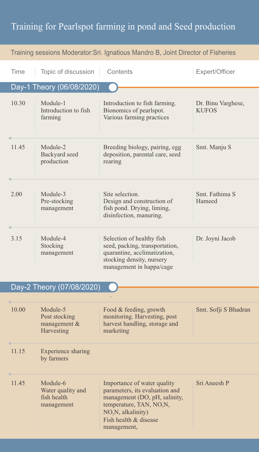## Training for Pearlspot farming in pond and Seed production

| Training sessions Moderator: Sri. Ignatious Mandro B, Joint Director of Fisheries |                                                            |                                                                                                                                                                                                                  |                                    |  |  |
|-----------------------------------------------------------------------------------|------------------------------------------------------------|------------------------------------------------------------------------------------------------------------------------------------------------------------------------------------------------------------------|------------------------------------|--|--|
| Time                                                                              | Topic of discussion                                        | Contents                                                                                                                                                                                                         | Expert/Officer                     |  |  |
| Day-1 Theory (06/08/2020)                                                         |                                                            |                                                                                                                                                                                                                  |                                    |  |  |
| 10.30                                                                             | Module-1<br>Introduction to fish<br>farming                | Introduction to fish farming.<br>Bionomics of pearlspot.<br>Various farming practices                                                                                                                            | Dr. Binu Varghese,<br><b>KUFOS</b> |  |  |
| 11.45                                                                             | Module-2<br>Backyard seed<br>production                    | Breeding biology, pairing, egg<br>deposition, parental care, seed<br>rearing                                                                                                                                     | Smt. Manju S                       |  |  |
| 2.00                                                                              | Module-3<br>Pre-stocking<br>management                     | Site selection.<br>Design and construction of<br>fish pond. Drying, liming,<br>disinfection, manuring.                                                                                                           | Smt. Fathima S<br>Hameed           |  |  |
| 3.15                                                                              | Module-4<br>Stocking<br>management                         | Selection of healthy fish<br>seed, packing, transportation,<br>quarantine, acclimatization,<br>stocking density, nursery<br>management in happa/cage                                                             | Dr. Joyni Jacob                    |  |  |
| Day-2 Theory (07/08/2020)                                                         |                                                            |                                                                                                                                                                                                                  |                                    |  |  |
| 10.00                                                                             | Module-5<br>Post stocking<br>management &<br>Harvesting    | Food & feeding, growth<br>monitoring. Harvesting, post<br>harvest handling, storage and<br>marketing                                                                                                             | Smt. Sofji S Bhadran               |  |  |
| 11.15                                                                             | <b>Experience sharing</b><br>by farmers                    |                                                                                                                                                                                                                  |                                    |  |  |
| 11.45                                                                             | Module-6<br>Water quality and<br>fish health<br>management | Importance of water quality<br>parameters, its evaluation and<br>management (DO, pH, salinity,<br>temperature, TAN, NO <sub>3</sub> N,<br>NO <sub>2</sub> N, alkalinity)<br>Fish health & disease<br>management, | Sri Aneesh P                       |  |  |